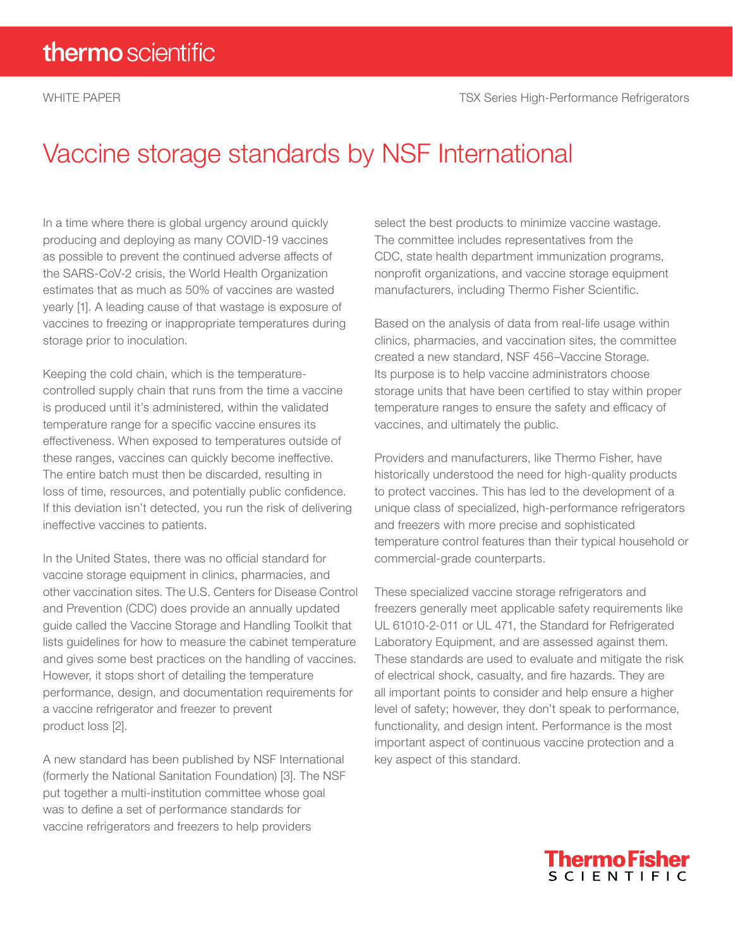## Vaccine storage standards by NSF International

In a time where there is global urgency around quickly producing and deploying as many COVID-19 vaccines as possible to prevent the continued adverse affects of the SARS-CoV-2 crisis, the World Health Organization estimates that as much as 50% of vaccines are wasted yearly [1]. A leading cause of that wastage is exposure of vaccines to freezing or inappropriate temperatures during storage prior to inoculation.

Keeping the cold chain, which is the temperaturecontrolled supply chain that runs from the time a vaccine is produced until it's administered, within the validated temperature range for a specific vaccine ensures its effectiveness. When exposed to temperatures outside of these ranges, vaccines can quickly become ineffective. The entire batch must then be discarded, resulting in loss of time, resources, and potentially public confidence. If this deviation isn't detected, you run the risk of delivering ineffective vaccines to patients.

In the United States, there was no official standard for vaccine storage equipment in clinics, pharmacies, and other vaccination sites. The U.S. Centers for Disease Control and Prevention (CDC) does provide an annually updated guide called the Vaccine Storage and Handling Toolkit that lists guidelines for how to measure the cabinet temperature and gives some best practices on the handling of vaccines. However, it stops short of detailing the temperature performance, design, and documentation requirements for a vaccine refrigerator and freezer to prevent product loss [2].

A new standard has been published by NSF International (formerly the National Sanitation Foundation) [3]. The NSF put together a multi-institution committee whose goal was to define a set of performance standards for vaccine refrigerators and freezers to help providers

select the best products to minimize vaccine wastage. The committee includes representatives from the CDC, state health department immunization programs, nonprofit organizations, and vaccine storage equipment manufacturers, including Thermo Fisher Scientific.

Based on the analysis of data from real-life usage within clinics, pharmacies, and vaccination sites, the committee created a new standard, NSF 456–Vaccine Storage. Its purpose is to help vaccine administrators choose storage units that have been certified to stay within proper temperature ranges to ensure the safety and efficacy of vaccines, and ultimately the public.

Providers and manufacturers, like Thermo Fisher, have historically understood the need for high-quality products to protect vaccines. This has led to the development of a unique class of specialized, high-performance refrigerators and freezers with more precise and sophisticated temperature control features than their typical household or commercial-grade counterparts.

These specialized vaccine storage refrigerators and freezers generally meet applicable safety requirements like UL 61010-2-011 or UL 471, the Standard for Refrigerated Laboratory Equipment, and are assessed against them. These standards are used to evaluate and mitigate the risk of electrical shock, casualty, and fire hazards. They are all important points to consider and help ensure a higher level of safety; however, they don't speak to performance, functionality, and design intent. Performance is the most important aspect of continuous vaccine protection and a key aspect of this standard.

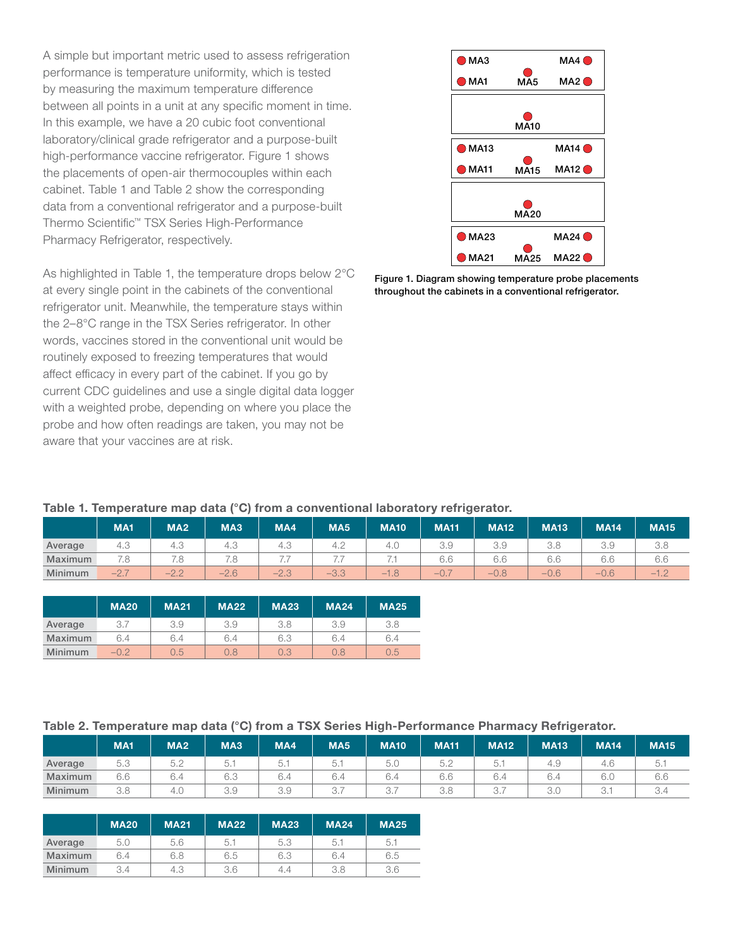A simple but important metric used to assess refrigeration performance is temperature uniformity, which is tested by measuring the maximum temperature difference between all points in a unit at any specific moment in time. In this example, we have a 20 cubic foot conventional laboratory/clinical grade refrigerator and a purpose-built high-performance vaccine refrigerator. Figure 1 shows the placements of open-air thermocouples within each cabinet. Table 1 and Table 2 show the corresponding data from a conventional refrigerator and a purpose-built Thermo Scientific™ TSX Series High-Performance Pharmacy Refrigerator, respectively.

As highlighted in Table 1, the temperature drops below 2°C at every single point in the cabinets of the conventional refrigerator unit. Meanwhile, the temperature stays within the 2–8°C range in the TSX Series refrigerator. In other words, vaccines stored in the conventional unit would be routinely exposed to freezing temperatures that would affect efficacy in every part of the cabinet. If you go by current CDC guidelines and use a single digital data logger with a weighted probe, depending on where you place the probe and how often readings are taken, you may not be aware that your vaccines are at risk.



Figure 1. Diagram showing temperature probe placements throughout the cabinets in a conventional refrigerator.

### MA1 | MA2 | MA3 | MA4 | MA5 | MA10 | MA11 | MA12 | MA13 | MA14 | MA15 **Average** | 4.3 | 4.3 | 4.3 | 4.3 | 4.2 | 4.0 | 3.9 | 3.9 | 3.8 | 3.9 | 3.8 **Maximum** 7.8 7.8 7.8 7.7 7.7 7.7 7.1 6.6 6.6 6.6 6.6 6.6 6.6 Minimum –2.7 | –2.2 | –2.6 | –2.3 | –3.3 | –1.8 | –0.7 | –0.8 | –0.6 | –0.6 | –1.2

|         | <b>MA20</b> | <b>MA21</b> | <b>MA22</b> | <b>MA23</b> | <b>MA24</b> | <b>MA25</b> |
|---------|-------------|-------------|-------------|-------------|-------------|-------------|
| Average | 3.7         | 3.9         | 3.9         | 3.8         | 3.9         | 3.8         |
| Maximum | 6.4         | 6.4         | 6.4         | 6.3         | 6.4         | 6.4         |
| Minimum | $-0.2$      | 0.5         | 0.8         | 0.3         | 0.8         | 0.5         |

### Table 2. Temperature map data (°C) from a TSX Series High-Performance Pharmacy Refrigerator.

|         | <b>MA1</b> | <b>MA2</b>               | <b>MA3</b>           | MA4                  | <b>MA5</b>                           | <b>MA10</b> | <b>MA11</b>                           | <b>MA12</b>   | <b>MA13</b> | <b>MA14</b> | <b>MA15</b>        |
|---------|------------|--------------------------|----------------------|----------------------|--------------------------------------|-------------|---------------------------------------|---------------|-------------|-------------|--------------------|
| Average | よっ<br>ు.ం  | ドク<br>$\cup$ . $\subset$ | $\sim$<br>$\cup$ . 1 | $\sim$<br>$\cup$ . I | $\sim$<br>U.                         | 5.0         | $\overline{\phantom{0}}$<br>Б,<br>U.Z | $\sim$<br>U.  | . ⊹         | 4.6         | $\sqrt{2}$<br>∪. I |
| Maximum | 6.6        | 6.4                      | 6.3                  | 6.4                  | 6.4                                  | 6.4         | 6.6                                   | $\sim$<br>◡.- | 6.4         | 6.0         | 6.6                |
| Minimum | 3.8        | 4.0                      | 3.9                  | 3.9                  | $\overline{\phantom{a}}$<br>$\cup$ . | ⌒<br>       | 38<br>U.C                             | U.            | U.U         | U.          | .54<br>U.T         |

|         | <b>MA20</b> | <b>MA21</b> | <b>MA22</b> | <b>MA23</b> | <b>MA24</b> | <b>MA25</b> |
|---------|-------------|-------------|-------------|-------------|-------------|-------------|
| Average | 5.0         | 5.6         | 5.1         | 5.3         | 5.1         | 5.1         |
| Maximum | 6.4         | 6.8         | 6.5         | 6.3         | 6.4         | 6.5         |
| Minimum | 3.4         |             | 3.6         | 4.4         | 3.8         | 3.6         |

## Table 1. Temperature map data (°C) from a conventional laboratory refrigerator.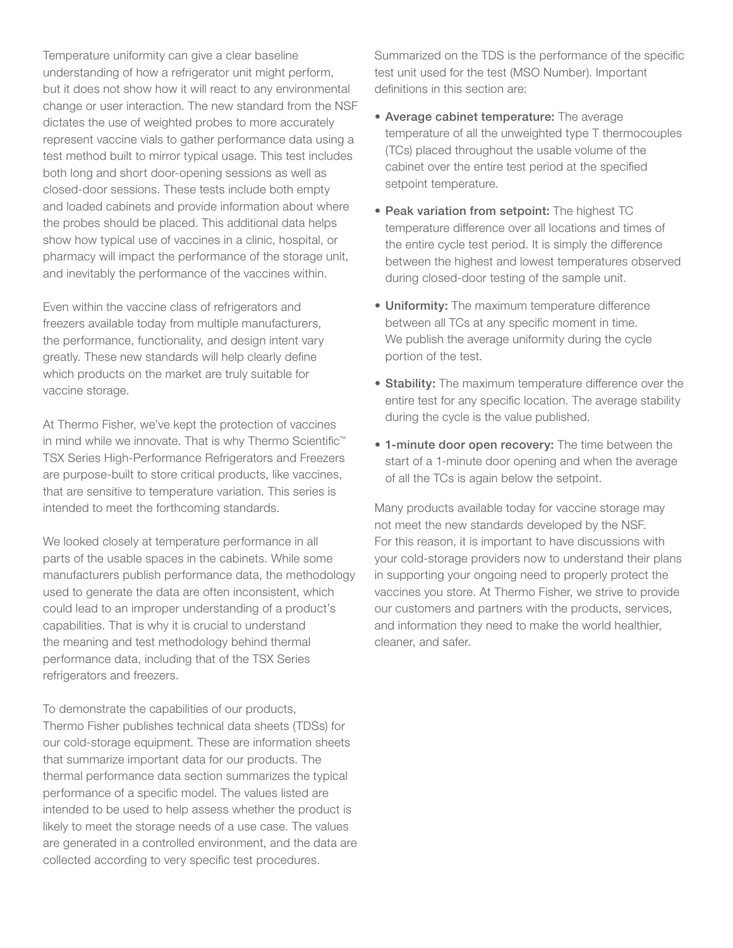Temperature uniformity can give a clear baseline understanding of how a refrigerator unit might perform, but it does not show how it will react to any environmental change or user interaction. The new standard from the NSF dictates the use of weighted probes to more accurately represent vaccine vials to gather performance data using a test method built to mirror typical usage. This test includes both long and short door-opening sessions as well as closed-door sessions. These tests include both empty and loaded cabinets and provide information about where the probes should be placed. This additional data helps show how typical use of vaccines in a clinic, hospital, or pharmacy will impact the performance of the storage unit, and inevitably the performance of the vaccines within.

Even within the vaccine class of refrigerators and freezers available today from multiple manufacturers, the performance, functionality, and design intent vary greatly. These new standards will help clearly define which products on the market are truly suitable for vaccine storage.

At Thermo Fisher, we've kept the protection of vaccines in mind while we innovate. That is why Thermo Scientific™ TSX Series High-Performance Refrigerators and Freezers are purpose-built to store critical products, like vaccines, that are sensitive to temperature variation. This series is intended to meet the forthcoming standards.

We looked closely at temperature performance in all parts of the usable spaces in the cabinets. While some manufacturers publish performance data, the methodology used to generate the data are often inconsistent, which could lead to an improper understanding of a product's capabilities. That is why it is crucial to understand the meaning and test methodology behind thermal performance data, including that of the TSX Series refrigerators and freezers.

To demonstrate the capabilities of our products, Thermo Fisher publishes technical data sheets (TDSs) for our cold-storage equipment. These are information sheets that summarize important data for our products. The thermal performance data section summarizes the typical performance of a specific model. The values listed are intended to be used to help assess whether the product is likely to meet the storage needs of a use case. The values are generated in a controlled environment, and the data are collected according to very specific test procedures.

Summarized on the TDS is the performance of the specific test unit used for the test (MSO Number). Important definitions in this section are:

- Average cabinet temperature: The average temperature of all the unweighted type T thermocouples (TCs) placed throughout the usable volume of the cabinet over the entire test period at the specified setpoint temperature.
- Peak variation from setpoint: The highest TC temperature difference over all locations and times of the entire cycle test period. It is simply the difference between the highest and lowest temperatures observed during closed-door testing of the sample unit.
- Uniformity: The maximum temperature difference between all TCs at any specific moment in time. We publish the average uniformity during the cycle portion of the test.
- Stability: The maximum temperature difference over the entire test for any specific location. The average stability during the cycle is the value published.
- 1-minute door open recovery: The time between the start of a 1-minute door opening and when the average of all the TCs is again below the setpoint.

Many products available today for vaccine storage may not meet the new standards developed by the NSF. For this reason, it is important to have discussions with your cold-storage providers now to understand their plans in supporting your ongoing need to properly protect the vaccines you store. At Thermo Fisher, we strive to provide our customers and partners with the products, services, and information they need to make the world healthier, cleaner, and safer.